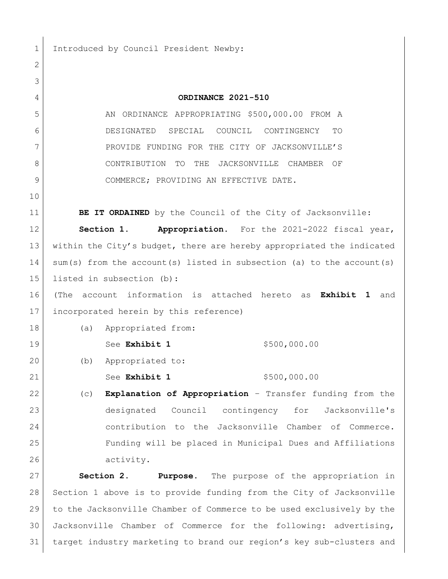1 Introduced by Council President Newby:

 **ORDINANCE 2021-510** 5 AN ORDINANCE APPROPRIATING \$500,000.00 FROM A DESIGNATED SPECIAL COUNCIL CONTINGENCY TO PROVIDE FUNDING FOR THE CITY OF JACKSONVILLE'S CONTRIBUTION TO THE JACKSONVILLE CHAMBER OF COMMERCE; PROVIDING AN EFFECTIVE DATE. **BE IT ORDAINED** by the Council of the City of Jacksonville: **Section 1. Appropriation.** For the 2021-2022 fiscal year, within the City's budget, there are hereby appropriated the indicated 14 sum(s) from the account(s) listed in subsection (a) to the account(s) listed in subsection (b): (The account information is attached hereto as **Exhibit 1** and incorporated herein by this reference) (a) Appropriated from: 19 See **Exhibit 1** \$500,000.00 (b) Appropriated to: 21 See **Exhibit 1** \$500,000.00 (c) **Explanation of Appropriation** – Transfer funding from the designated Council contingency for Jacksonville's contribution to the Jacksonville Chamber of Commerce. Funding will be placed in Municipal Dues and Affiliations 26 activity. **Section 2. Purpose.** The purpose of the appropriation in Section 1 above is to provide funding from the City of Jacksonville to the Jacksonville Chamber of Commerce to be used exclusively by the

 Jacksonville Chamber of Commerce for the following: advertising, target industry marketing to brand our region's key sub-clusters and